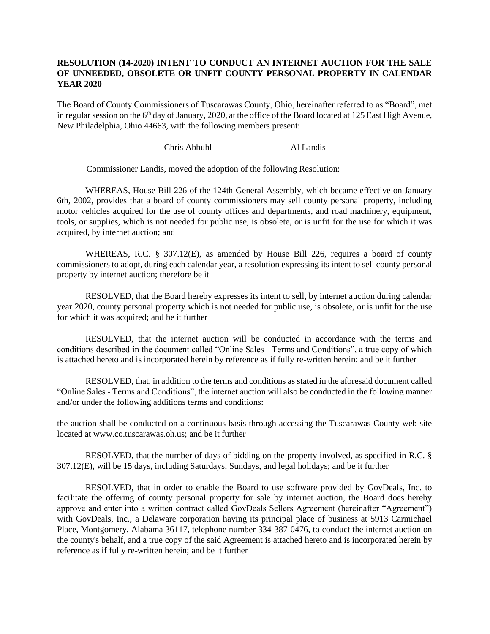## **RESOLUTION (14-2020) INTENT TO CONDUCT AN INTERNET AUCTION FOR THE SALE OF UNNEEDED, OBSOLETE OR UNFIT COUNTY PERSONAL PROPERTY IN CALENDAR YEAR 2020**

The Board of County Commissioners of Tuscarawas County, Ohio, hereinafter referred to as "Board", met in regular session on the  $6<sup>th</sup>$  day of January, 2020, at the office of the Board located at 125 East High Avenue, New Philadelphia, Ohio 44663, with the following members present:

## Chris Abbuhl Al Landis

Commissioner Landis, moved the adoption of the following Resolution:

WHEREAS, House Bill 226 of the 124th General Assembly, which became effective on January 6th, 2002, provides that a board of county commissioners may sell county personal property, including motor vehicles acquired for the use of county offices and departments, and road machinery, equipment, tools, or supplies, which is not needed for public use, is obsolete, or is unfit for the use for which it was acquired, by internet auction; and

WHEREAS, R.C. § 307.12(E), as amended by House Bill 226, requires a board of county commissioners to adopt, during each calendar year, a resolution expressing its intent to sell county personal property by internet auction; therefore be it

RESOLVED, that the Board hereby expresses its intent to sell, by internet auction during calendar year 2020, county personal property which is not needed for public use, is obsolete, or is unfit for the use for which it was acquired; and be it further

RESOLVED, that the internet auction will be conducted in accordance with the terms and conditions described in the document called "Online Sales - Terms and Conditions", a true copy of which is attached hereto and is incorporated herein by reference as if fully re-written herein; and be it further

RESOLVED, that, in addition to the terms and conditions as stated in the aforesaid document called "Online Sales - Terms and Conditions", the internet auction will also be conducted in the following manner and/or under the following additions terms and conditions:

the auction shall be conducted on a continuous basis through accessing the Tuscarawas County web site located at www.co.tuscarawas.oh.us; and be it further

RESOLVED, that the number of days of bidding on the property involved, as specified in R.C. § 307.12(E), will be 15 days, including Saturdays, Sundays, and legal holidays; and be it further

RESOLVED, that in order to enable the Board to use software provided by GovDeals, Inc. to facilitate the offering of county personal property for sale by internet auction, the Board does hereby approve and enter into a written contract called GovDeals Sellers Agreement (hereinafter "Agreement") with GovDeals, Inc., a Delaware corporation having its principal place of business at 5913 Carmichael Place, Montgomery, Alabama 36117, telephone number 334-387-0476, to conduct the internet auction on the county's behalf, and a true copy of the said Agreement is attached hereto and is incorporated herein by reference as if fully re-written herein; and be it further